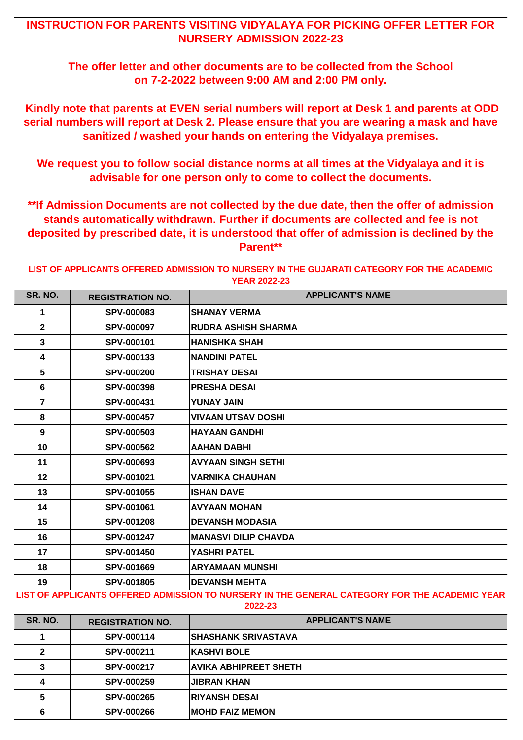| LIST OF APPLICANTS OFFERED ADMISSION TO NURSERY IN THE GUJARATI CATEGORY FOR THE ACADEMIC<br><b>YEAR 2022-23</b> |                                                                                                          |                              |  |
|------------------------------------------------------------------------------------------------------------------|----------------------------------------------------------------------------------------------------------|------------------------------|--|
| SR. NO.                                                                                                          | <b>REGISTRATION NO.</b>                                                                                  | <b>APPLICANT'S NAME</b>      |  |
| 1                                                                                                                | <b>SPV-000083</b>                                                                                        | <b>SHANAY VERMA</b>          |  |
| $\overline{2}$                                                                                                   | <b>SPV-000097</b>                                                                                        | <b>RUDRA ASHISH SHARMA</b>   |  |
| $\mathbf{3}$                                                                                                     | SPV-000101                                                                                               | <b>HANISHKA SHAH</b>         |  |
| $\overline{\mathbf{4}}$                                                                                          | <b>SPV-000133</b>                                                                                        | <b>NANDINI PATEL</b>         |  |
| 5                                                                                                                | <b>SPV-000200</b>                                                                                        | <b>TRISHAY DESAI</b>         |  |
| 6                                                                                                                | <b>SPV-000398</b>                                                                                        | <b>PRESHA DESAI</b>          |  |
| $\overline{7}$                                                                                                   | SPV-000431                                                                                               | <b>YUNAY JAIN</b>            |  |
| 8                                                                                                                | <b>SPV-000457</b>                                                                                        | <b>VIVAAN UTSAV DOSHI</b>    |  |
| 9                                                                                                                | <b>SPV-000503</b>                                                                                        | <b>HAYAAN GANDHI</b>         |  |
| 10                                                                                                               | <b>SPV-000562</b>                                                                                        | <b>AAHAN DABHI</b>           |  |
| 11                                                                                                               | <b>SPV-000693</b>                                                                                        | <b>AVYAAN SINGH SETHI</b>    |  |
| 12                                                                                                               | <b>SPV-001021</b>                                                                                        | <b>VARNIKA CHAUHAN</b>       |  |
| 13                                                                                                               | <b>SPV-001055</b>                                                                                        | <b>ISHAN DAVE</b>            |  |
| 14                                                                                                               | <b>SPV-001061</b>                                                                                        | <b>AVYAAN MOHAN</b>          |  |
| 15                                                                                                               | <b>SPV-001208</b>                                                                                        | <b>DEVANSH MODASIA</b>       |  |
| 16                                                                                                               | <b>SPV-001247</b>                                                                                        | <b>MANASVI DILIP CHAVDA</b>  |  |
| 17                                                                                                               | <b>SPV-001450</b>                                                                                        | <b>YASHRI PATEL</b>          |  |
| 18                                                                                                               | <b>SPV-001669</b>                                                                                        | <b>ARYAMAAN MUNSHI</b>       |  |
| 19                                                                                                               | <b>SPV-001805</b>                                                                                        | <b>DEVANSH MEHTA</b>         |  |
|                                                                                                                  | LIST OF APPLICANTS OFFERED ADMISSION TO NURSERY IN THE GENERAL CATEGORY FOR THE ACADEMIC YEAR<br>2022-23 |                              |  |
| <b>SR. NO.</b>                                                                                                   | <b>REGISTRATION NO.</b>                                                                                  | <b>APPLICANT'S NAME</b>      |  |
| 1                                                                                                                | <b>SPV-000114</b>                                                                                        | <b>SHASHANK SRIVASTAVA</b>   |  |
| $\mathbf{2}$                                                                                                     | SPV-000211                                                                                               | <b>KASHVI BOLE</b>           |  |
| $\mathbf{3}$                                                                                                     | <b>SPV-000217</b>                                                                                        | <b>AVIKA ABHIPREET SHETH</b> |  |
| $\overline{\mathbf{4}}$                                                                                          | <b>SPV-000259</b>                                                                                        | <b>JIBRAN KHAN</b>           |  |
| 5                                                                                                                | <b>SPV-000265</b>                                                                                        | <b>RIYANSH DESAI</b>         |  |
| $6\phantom{1}$                                                                                                   | <b>SPV-000266</b>                                                                                        | <b>MOHD FAIZ MEMON</b>       |  |

## **INSTRUCTION FOR PARENTS VISITING VIDYALAYA FOR PICKING OFFER LETTER FOR NURSERY ADMISSION 2022-23**

**The offer letter and other documents are to be collected from the School on 7-2-2022 between 9:00 AM and 2:00 PM only.** 

 **Kindly note that parents at EVEN serial numbers will report at Desk 1 and parents at ODD serial numbers will report at Desk 2. Please ensure that you are wearing a mask and have sanitized / washed your hands on entering the Vidyalaya premises.** 

**We request you to follow social distance norms at all times at the Vidyalaya and it is advisable for one person only to come to collect the documents.**

**\*\*If Admission Documents are not collected by the due date, then the offer of admission stands automatically withdrawn. Further if documents are collected and fee is not deposited by prescribed date, it is understood that offer of admission is declined by the Parent\*\***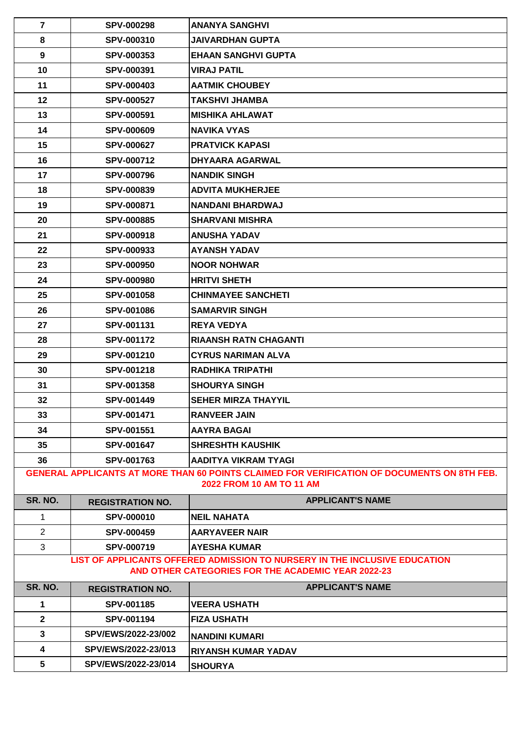| $\overline{7}$                                                                                                                        | <b>SPV-000298</b>       | <b>ANANYA SANGHVI</b>                                                        |
|---------------------------------------------------------------------------------------------------------------------------------------|-------------------------|------------------------------------------------------------------------------|
| 8                                                                                                                                     | <b>SPV-000310</b>       | <b>JAIVARDHAN GUPTA</b>                                                      |
| 9                                                                                                                                     | <b>SPV-000353</b>       | <b>EHAAN SANGHVI GUPTA</b>                                                   |
| 10                                                                                                                                    | SPV-000391              | <b>VIRAJ PATIL</b>                                                           |
| 11                                                                                                                                    | <b>SPV-000403</b>       | <b>AATMIK CHOUBEY</b>                                                        |
| 12                                                                                                                                    | <b>SPV-000527</b>       | TAKSHVI JHAMBA                                                               |
| 13                                                                                                                                    | <b>SPV-000591</b>       | <b>MISHIKA AHLAWAT</b>                                                       |
| 14                                                                                                                                    | <b>SPV-000609</b>       | <b>NAVIKA VYAS</b>                                                           |
| 15                                                                                                                                    | <b>SPV-000627</b>       | <b>PRATVICK KAPASI</b>                                                       |
| 16                                                                                                                                    | <b>SPV-000712</b>       | <b>DHYAARA AGARWAL</b>                                                       |
| 17                                                                                                                                    | <b>SPV-000796</b>       | <b>NANDIK SINGH</b>                                                          |
| 18                                                                                                                                    | <b>SPV-000839</b>       | <b>ADVITA MUKHERJEE</b>                                                      |
| 19                                                                                                                                    | <b>SPV-000871</b>       | <b>NANDANI BHARDWAJ</b>                                                      |
| 20                                                                                                                                    | <b>SPV-000885</b>       | <b>SHARVANI MISHRA</b>                                                       |
| 21                                                                                                                                    | <b>SPV-000918</b>       | <b>ANUSHA YADAV</b>                                                          |
| 22                                                                                                                                    | <b>SPV-000933</b>       | <b>AYANSH YADAV</b>                                                          |
| 23                                                                                                                                    | <b>SPV-000950</b>       | <b>NOOR NOHWAR</b>                                                           |
| 24                                                                                                                                    | <b>SPV-000980</b>       | <b>HRITVI SHETH</b>                                                          |
| 25                                                                                                                                    | <b>SPV-001058</b>       | <b>CHINMAYEE SANCHETI</b>                                                    |
| 26                                                                                                                                    | <b>SPV-001086</b>       | <b>SAMARVIR SINGH</b>                                                        |
| 27                                                                                                                                    | <b>SPV-001131</b>       | <b>REYA VEDYA</b>                                                            |
| 28                                                                                                                                    | <b>SPV-001172</b>       | <b>RIAANSH RATN CHAGANTI</b>                                                 |
| 29                                                                                                                                    | <b>SPV-001210</b>       | <b>CYRUS NARIMAN ALVA</b>                                                    |
| 30                                                                                                                                    | <b>SPV-001218</b>       | <b>RADHIKA TRIPATHI</b>                                                      |
| 31                                                                                                                                    | <b>SPV-001358</b>       | <b>SHOURYA SINGH</b>                                                         |
| 32                                                                                                                                    | <b>SPV-001449</b>       | <b>SEHER MIRZA THAYYIL</b>                                                   |
| 33                                                                                                                                    | <b>SPV-001471</b>       | <b>RANVEER JAIN</b>                                                          |
| 34                                                                                                                                    | <b>SPV-001551</b>       | <b>AAYRA BAGAI</b>                                                           |
| 35                                                                                                                                    | <b>SPV-001647</b>       | <b>SHRESHTH KAUSHIK</b>                                                      |
| 36                                                                                                                                    | <b>SPV-001763</b>       | <b>AADITYA VIKRAM TYAGI</b>                                                  |
| <b>GENERAL APPLICANTS AT MORE THAN 60 POINTS CLAIMED FOR VERIFICATION OF DOCUMENTS ON 8TH FEB.</b><br><b>2022 FROM 10 AM TO 11 AM</b> |                         |                                                                              |
| SR. NO.                                                                                                                               | <b>REGISTRATION NO.</b> | <b>APPLICANT'S NAME</b>                                                      |
| $\mathbf 1$                                                                                                                           | <b>SPV-000010</b>       | <b>NEIL NAHATA</b>                                                           |
| 2                                                                                                                                     | <b>SPV-000459</b>       | <b>AARYAVEER NAIR</b>                                                        |
| 3                                                                                                                                     | <b>SPV-000719</b>       | <b>AYESHA KUMAR</b>                                                          |
|                                                                                                                                       |                         | LIST OF ADDI ICANTS OFFEDED ADMISSION TO MUDSEDV IN THE INCLUSIVE EDUCATION. |

| SR. NO.      | <b>REGISTRATION NO.</b>    | <b>APPLICANT'S NAME</b>    |
|--------------|----------------------------|----------------------------|
|              | <b>SPV-001185</b>          | <b>IVEERA USHATH</b>       |
| $\mathbf{2}$ | <b>SPV-001194</b>          | <b>IFIZA USHATH</b>        |
| 3            | <b>SPV/EWS/2022-23/002</b> | <b>INANDINI KUMARI</b>     |
| 4            | SPV/EWS/2022-23/013        | <b>RIYANSH KUMAR YADAV</b> |
| 5            | SPV/EWS/2022-23/014        | <b>SHOURYA</b>             |

## **LIST OF APPLICANTS OFFERED ADMISSION TO NURSERY IN THE INCLUSIVE EDUCATION AND OTHER CATEGORIES FOR THE ACADEMIC YEAR 2022-23**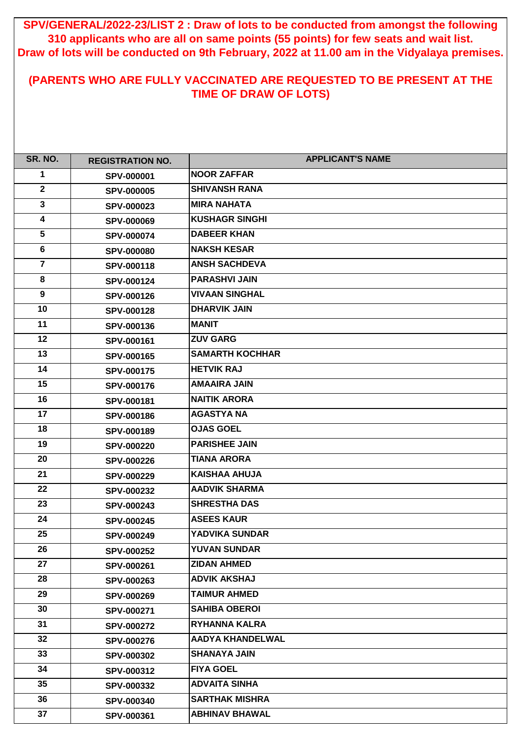| SR. NO.                 | <b>REGISTRATION NO.</b> | <b>APPLICANT'S NAME</b> |
|-------------------------|-------------------------|-------------------------|
| 1                       | <b>SPV-000001</b>       | <b>NOOR ZAFFAR</b>      |
| $\overline{2}$          | <b>SPV-000005</b>       | <b>SHIVANSH RANA</b>    |
| $\mathbf{3}$            | <b>SPV-000023</b>       | <b>MIRA NAHATA</b>      |
| $\overline{\mathbf{4}}$ | <b>SPV-000069</b>       | <b>KUSHAGR SINGHI</b>   |
| $5\phantom{1}$          | <b>SPV-000074</b>       | <b>DABEER KHAN</b>      |
| $6\phantom{1}$          | <b>SPV-000080</b>       | <b>NAKSH KESAR</b>      |
| $\overline{7}$          | <b>SPV-000118</b>       | <b>ANSH SACHDEVA</b>    |
| 8                       | <b>SPV-000124</b>       | <b>PARASHVI JAIN</b>    |
| 9                       | <b>SPV-000126</b>       | <b>VIVAAN SINGHAL</b>   |
| 10                      | <b>SPV-000128</b>       | <b>DHARVIK JAIN</b>     |
| 11                      | <b>SPV-000136</b>       | <b>MANIT</b>            |
| 12                      | <b>SPV-000161</b>       | <b>ZUV GARG</b>         |
| 13                      | <b>SPV-000165</b>       | <b>SAMARTH KOCHHAR</b>  |
| 14                      | <b>SPV-000175</b>       | <b>HETVIK RAJ</b>       |
| 15                      | <b>SPV-000176</b>       | <b>AMAAIRA JAIN</b>     |
| 16                      | SPV-000181              | <b>NAITIK ARORA</b>     |
| 17                      | <b>SPV-000186</b>       | <b>AGASTYA NA</b>       |
| 18                      | <b>SPV-000189</b>       | <b>OJAS GOEL</b>        |
| 19                      | <b>SPV-000220</b>       | <b>PARISHEE JAIN</b>    |
| 20                      | <b>SPV-000226</b>       | <b>TIANA ARORA</b>      |
| 21                      | <b>SPV-000229</b>       | <b>KAISHAA AHUJA</b>    |
| 22                      | <b>SPV-000232</b>       | <b>AADVIK SHARMA</b>    |
| 23                      | <b>SPV-000243</b>       | <b>SHRESTHA DAS</b>     |
| 24                      | <b>SPV-000245</b>       | <b>ASEES KAUR</b>       |
| 25                      | <b>SPV-000249</b>       | <b>YADVIKA SUNDAR</b>   |
| 26                      | <b>SPV-000252</b>       | <b>YUVAN SUNDAR</b>     |
| 27                      | <b>SPV-000261</b>       | <b>ZIDAN AHMED</b>      |
| 28                      | <b>SPV-000263</b>       | <b>ADVIK AKSHAJ</b>     |
| 29                      | <b>SPV-000269</b>       | <b>TAIMUR AHMED</b>     |
| 30                      | <b>SPV-000271</b>       | <b>SAHIBA OBEROI</b>    |
| 31                      | <b>SPV-000272</b>       | <b>RYHANNA KALRA</b>    |
| 32                      | <b>SPV-000276</b>       | <b>AADYA KHANDELWAL</b> |
| 33                      | <b>SPV-000302</b>       | <b>SHANAYA JAIN</b>     |
| 34                      | <b>SPV-000312</b>       | <b>FIYA GOEL</b>        |
| 35                      | <b>SPV-000332</b>       | <b>ADVAITA SINHA</b>    |
| 36                      | <b>SPV-000340</b>       | <b>SARTHAK MISHRA</b>   |
| 37                      | SPV-000361              | <b>ABHINAV BHAWAL</b>   |

**SPV/GENERAL/2022-23/LIST 2 : Draw of lots to be conducted from amongst the following 310 applicants who are all on same points (55 points) for few seats and wait list. Draw of lots will be conducted on 9th February, 2022 at 11.00 am in the Vidyalaya premises.**

## **(PARENTS WHO ARE FULLY VACCINATED ARE REQUESTED TO BE PRESENT AT THE TIME OF DRAW OF LOTS)**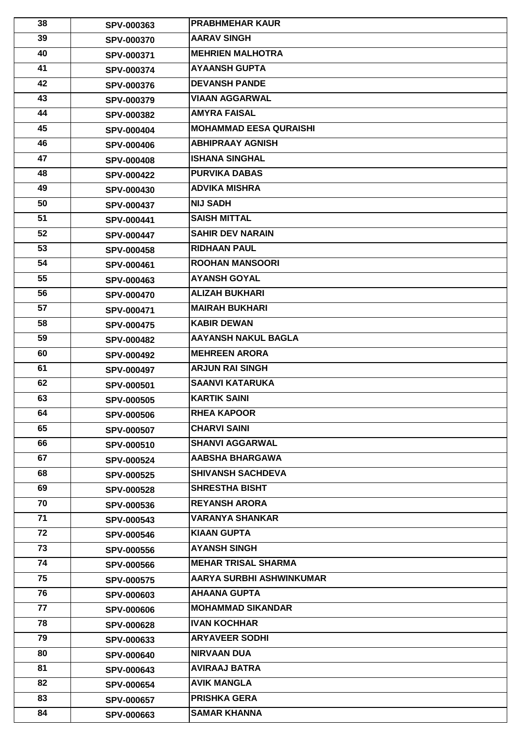| 38       | <b>SPV-000363</b>                      | <b>PRABHMEHAR KAUR</b>                         |
|----------|----------------------------------------|------------------------------------------------|
| 39       | <b>SPV-000370</b>                      | <b>AARAV SINGH</b>                             |
| 40       | <b>SPV-000371</b>                      | <b>MEHRIEN MALHOTRA</b>                        |
| 41       | <b>SPV-000374</b>                      | <b>AYAANSH GUPTA</b>                           |
| 42       | <b>SPV-000376</b>                      | <b>DEVANSH PANDE</b>                           |
| 43       | <b>SPV-000379</b>                      | <b>VIAAN AGGARWAL</b>                          |
| 44       | <b>SPV-000382</b>                      | <b>AMYRA FAISAL</b>                            |
| 45       | <b>SPV-000404</b>                      | <b>MOHAMMAD EESA QURAISHI</b>                  |
| 46       | <b>SPV-000406</b>                      | <b>ABHIPRAAY AGNISH</b>                        |
| 47       | <b>SPV-000408</b>                      | <b>ISHANA SINGHAL</b>                          |
| 48       | <b>SPV-000422</b>                      | <b>PURVIKA DABAS</b>                           |
| 49       | <b>SPV-000430</b>                      | <b>ADVIKA MISHRA</b>                           |
| 50       | <b>SPV-000437</b>                      | <b>NIJ SADH</b>                                |
| 51       | <b>SPV-000441</b>                      | <b>SAISH MITTAL</b>                            |
| 52       | <b>SPV-000447</b>                      | <b>SAHIR DEV NARAIN</b>                        |
| 53       | <b>SPV-000458</b>                      | <b>RIDHAAN PAUL</b>                            |
| 54       | <b>SPV-000461</b>                      | <b>ROOHAN MANSOORI</b>                         |
| 55       | <b>SPV-000463</b>                      | <b>AYANSH GOYAL</b>                            |
| 56       | <b>SPV-000470</b>                      | <b>ALIZAH BUKHARI</b>                          |
| 57       | <b>SPV-000471</b>                      | <b>MAIRAH BUKHARI</b>                          |
| 58       | <b>SPV-000475</b>                      | <b>KABIR DEWAN</b>                             |
| 59       | <b>SPV-000482</b>                      | <b>AAYANSH NAKUL BAGLA</b>                     |
| 60       | <b>SPV-000492</b>                      | <b>MEHREEN ARORA</b>                           |
| 61       | <b>SPV-000497</b>                      | <b>ARJUN RAI SINGH</b>                         |
| 62       | <b>SPV-000501</b>                      | <b>SAANVI KATARUKA</b>                         |
| 63       | <b>SPV-000505</b>                      | <b>KARTIK SAINI</b>                            |
| 64       | <b>SPV-000506</b>                      | <b>RHEA KAPOOR</b>                             |
| 65       | <b>SPV-000507</b>                      | <b>CHARVI SAINI</b>                            |
| 66       | <b>SPV-000510</b>                      | <b>SHANVI AGGARWAL</b>                         |
| 67       | <b>SPV-000524</b>                      | <b>AABSHA BHARGAWA</b>                         |
| 68       | <b>SPV-000525</b>                      | <b>SHIVANSH SACHDEVA</b>                       |
| 69       | <b>SPV-000528</b>                      | <b>SHRESTHA BISHT</b>                          |
| 70       | <b>SPV-000536</b>                      | <b>REYANSH ARORA</b><br><b>VARANYA SHANKAR</b> |
| 71<br>72 | <b>SPV-000543</b>                      | <b>KIAAN GUPTA</b>                             |
| 73       | <b>SPV-000546</b>                      | <b>AYANSH SINGH</b>                            |
| 74       | <b>SPV-000556</b>                      | <b>MEHAR TRISAL SHARMA</b>                     |
| 75       | <b>SPV-000566</b>                      | <b>AARYA SURBHI ASHWINKUMAR</b>                |
| 76       | <b>SPV-000575</b>                      | <b>AHAANA GUPTA</b>                            |
| 77       | <b>SPV-000603</b>                      | <b>MOHAMMAD SIKANDAR</b>                       |
| 78       | <b>SPV-000606</b>                      | <b>IVAN KOCHHAR</b>                            |
| 79       | <b>SPV-000628</b>                      | <b>ARYAVEER SODHI</b>                          |
| 80       | <b>SPV-000633</b><br><b>SPV-000640</b> | <b>NIRVAAN DUA</b>                             |
| 81       | <b>SPV-000643</b>                      | <b>AVIRAAJ BATRA</b>                           |
| 82       | <b>SPV-000654</b>                      | <b>AVIK MANGLA</b>                             |
| 83       | <b>SPV-000657</b>                      | <b>PRISHKA GERA</b>                            |
| 84       | <b>SPV-000663</b>                      | <b>SAMAR KHANNA</b>                            |
|          |                                        |                                                |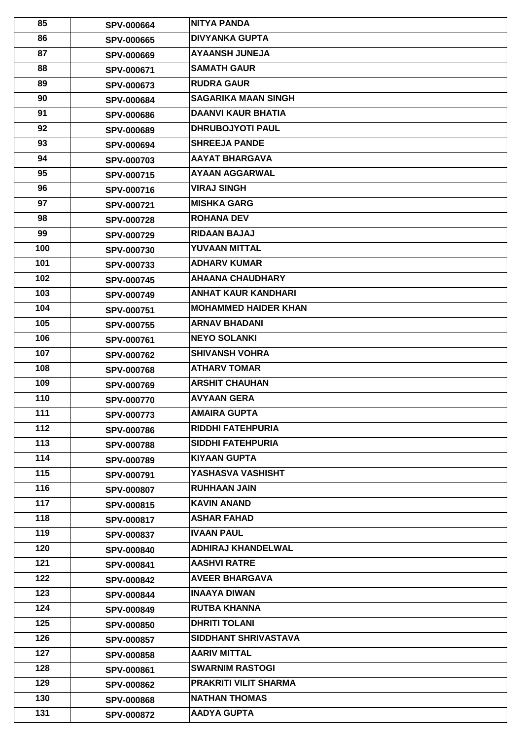| 85    | <b>SPV-000664</b> | <b>NITYA PANDA</b>           |
|-------|-------------------|------------------------------|
| 86    | <b>SPV-000665</b> | <b>DIVYANKA GUPTA</b>        |
| 87    | <b>SPV-000669</b> | <b>AYAANSH JUNEJA</b>        |
| 88    | <b>SPV-000671</b> | <b>SAMATH GAUR</b>           |
| 89    | <b>SPV-000673</b> | <b>RUDRA GAUR</b>            |
| 90    | <b>SPV-000684</b> | <b>SAGARIKA MAAN SINGH</b>   |
| 91    | <b>SPV-000686</b> | <b>DAANVI KAUR BHATIA</b>    |
| 92    | <b>SPV-000689</b> | <b>DHRUBOJYOTI PAUL</b>      |
| 93    | <b>SPV-000694</b> | <b>SHREEJA PANDE</b>         |
| 94    | <b>SPV-000703</b> | <b>AAYAT BHARGAVA</b>        |
| 95    | <b>SPV-000715</b> | <b>AYAAN AGGARWAL</b>        |
| 96    | <b>SPV-000716</b> | <b>VIRAJ SINGH</b>           |
| 97    | <b>SPV-000721</b> | <b>MISHKA GARG</b>           |
| 98    | <b>SPV-000728</b> | <b>ROHANA DEV</b>            |
| 99    | <b>SPV-000729</b> | <b>RIDAAN BAJAJ</b>          |
| 100   | <b>SPV-000730</b> | YUVAAN MITTAL                |
| 101   | <b>SPV-000733</b> | <b>ADHARV KUMAR</b>          |
| 102   | <b>SPV-000745</b> | <b>AHAANA CHAUDHARY</b>      |
| 103   | <b>SPV-000749</b> | <b>ANHAT KAUR KANDHARI</b>   |
| 104   | <b>SPV-000751</b> | <b>MOHAMMED HAIDER KHAN</b>  |
| 105   | <b>SPV-000755</b> | <b>ARNAV BHADANI</b>         |
| 106   | <b>SPV-000761</b> | <b>INEYO SOLANKI</b>         |
| 107   | <b>SPV-000762</b> | <b>SHIVANSH VOHRA</b>        |
| 108   | <b>SPV-000768</b> | <b>ATHARV TOMAR</b>          |
| 109   | <b>SPV-000769</b> | <b>ARSHIT CHAUHAN</b>        |
| 110   | <b>SPV-000770</b> | <b>AVYAAN GERA</b>           |
| 111   | <b>SPV-000773</b> | <b>AMAIRA GUPTA</b>          |
| $112$ | <b>SPV-000786</b> | <b>RIDDHI FATEHPURIA</b>     |
| 113   | <b>SPV-000788</b> | <b>SIDDHI FATEHPURIA</b>     |
| 114   | <b>SPV-000789</b> | KIYAAN GUPTA                 |
| 115   | <b>SPV-000791</b> | YASHASVA VASHISHT            |
| 116   | <b>SPV-000807</b> | <b>RUHHAAN JAIN</b>          |
| 117   | <b>SPV-000815</b> | <b>KAVIN ANAND</b>           |
| 118   | <b>SPV-000817</b> | <b>ASHAR FAHAD</b>           |
| 119   | <b>SPV-000837</b> | <b>IVAAN PAUL</b>            |
| 120   | <b>SPV-000840</b> | <b>ADHIRAJ KHANDELWAL</b>    |
| 121   | <b>SPV-000841</b> | <b>AASHVI RATRE</b>          |
| 122   | <b>SPV-000842</b> | <b>AVEER BHARGAVA</b>        |
| 123   | <b>SPV-000844</b> | <b>INAAYA DIWAN</b>          |
| 124   | <b>SPV-000849</b> | <b>RUTBA KHANNA</b>          |
| 125   | <b>SPV-000850</b> | <b>DHRITI TOLANI</b>         |
| 126   | <b>SPV-000857</b> | <b>SIDDHANT SHRIVASTAVA</b>  |
| 127   | <b>SPV-000858</b> | <b>AARIV MITTAL</b>          |
| 128   | <b>SPV-000861</b> | <b>SWARNIM RASTOGI</b>       |
| 129   | <b>SPV-000862</b> | <b>PRAKRITI VILIT SHARMA</b> |
| 130   | <b>SPV-000868</b> | <b>NATHAN THOMAS</b>         |
| 131   | <b>SPV-000872</b> | <b>AADYA GUPTA</b>           |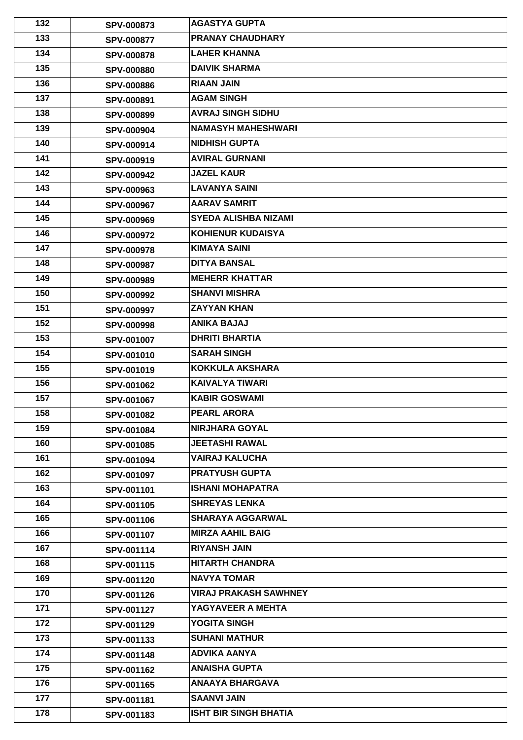| 132 | <b>SPV-000873</b> | <b>AGASTYA GUPTA</b>         |
|-----|-------------------|------------------------------|
| 133 | <b>SPV-000877</b> | <b>PRANAY CHAUDHARY</b>      |
| 134 | <b>SPV-000878</b> | <b>LAHER KHANNA</b>          |
| 135 | <b>SPV-000880</b> | <b>DAIVIK SHARMA</b>         |
| 136 | <b>SPV-000886</b> | <b>RIAAN JAIN</b>            |
| 137 | <b>SPV-000891</b> | <b>AGAM SINGH</b>            |
| 138 | <b>SPV-000899</b> | <b>AVRAJ SINGH SIDHU</b>     |
| 139 | <b>SPV-000904</b> | <b>NAMASYH MAHESHWARI</b>    |
| 140 | <b>SPV-000914</b> | <b>NIDHISH GUPTA</b>         |
| 141 | <b>SPV-000919</b> | <b>AVIRAL GURNANI</b>        |
| 142 | <b>SPV-000942</b> | <b>JAZEL KAUR</b>            |
| 143 | <b>SPV-000963</b> | <b>LAVANYA SAINI</b>         |
| 144 | <b>SPV-000967</b> | <b>AARAV SAMRIT</b>          |
| 145 | <b>SPV-000969</b> | <b>SYEDA ALISHBA NIZAMI</b>  |
| 146 | <b>SPV-000972</b> | <b>KOHIENUR KUDAISYA</b>     |
| 147 | <b>SPV-000978</b> | <b>KIMAYA SAINI</b>          |
| 148 | <b>SPV-000987</b> | <b>DITYA BANSAL</b>          |
| 149 | <b>SPV-000989</b> | <b>MEHERR KHATTAR</b>        |
| 150 | <b>SPV-000992</b> | <b>SHANVI MISHRA</b>         |
| 151 | <b>SPV-000997</b> | <b>ZAYYAN KHAN</b>           |
| 152 | <b>SPV-000998</b> | <b>ANIKA BAJAJ</b>           |
| 153 | <b>SPV-001007</b> | <b>DHRITI BHARTIA</b>        |
| 154 | <b>SPV-001010</b> | <b>SARAH SINGH</b>           |
| 155 | <b>SPV-001019</b> | <b>KOKKULA AKSHARA</b>       |
| 156 | <b>SPV-001062</b> | <b>KAIVALYA TIWARI</b>       |
| 157 | <b>SPV-001067</b> | <b>KABIR GOSWAMI</b>         |
| 158 | <b>SPV-001082</b> | <b>PEARL ARORA</b>           |
| 159 | <b>SPV-001084</b> | <b>NIRJHARA GOYAL</b>        |
| 160 | <b>SPV-001085</b> | <b>JEETASHI RAWAL</b>        |
| 161 | <b>SPV-001094</b> | <b>VAIRAJ KALUCHA</b>        |
| 162 | <b>SPV-001097</b> | <b>PRATYUSH GUPTA</b>        |
| 163 | <b>SPV-001101</b> | <b>ISHANI MOHAPATRA</b>      |
| 164 | <b>SPV-001105</b> | <b>SHREYAS LENKA</b>         |
| 165 | <b>SPV-001106</b> | <b>SHARAYA AGGARWAL</b>      |
| 166 | <b>SPV-001107</b> | <b>MIRZA AAHIL BAIG</b>      |
| 167 | <b>SPV-001114</b> | <b>RIYANSH JAIN</b>          |
| 168 | <b>SPV-001115</b> | <b>HITARTH CHANDRA</b>       |
| 169 | <b>SPV-001120</b> | <b>NAVYA TOMAR</b>           |
| 170 | <b>SPV-001126</b> | <b>VIRAJ PRAKASH SAWHNEY</b> |
| 171 | <b>SPV-001127</b> | YAGYAVEER A MEHTA            |
| 172 | <b>SPV-001129</b> | <b>YOGITA SINGH</b>          |
| 173 | SPV-001133        | <b>SUHANI MATHUR</b>         |
| 174 | <b>SPV-001148</b> | <b>ADVIKA AANYA</b>          |
| 175 | <b>SPV-001162</b> | <b>ANAISHA GUPTA</b>         |
| 176 | <b>SPV-001165</b> | <b>ANAAYA BHARGAVA</b>       |
| 177 | SPV-001181        | <b>SAANVI JAIN</b>           |
| 178 | <b>SPV-001183</b> | <b>ISHT BIR SINGH BHATIA</b> |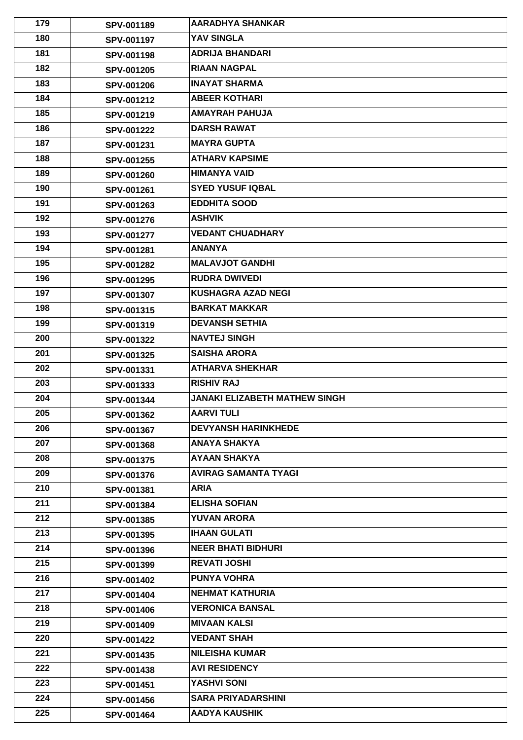| 179 | <b>SPV-001189</b> | <b>AARADHYA SHANKAR</b>              |
|-----|-------------------|--------------------------------------|
| 180 | <b>SPV-001197</b> | YAV SINGLA                           |
| 181 | <b>SPV-001198</b> | <b>ADRIJA BHANDARI</b>               |
| 182 | <b>SPV-001205</b> | <b>RIAAN NAGPAL</b>                  |
| 183 | <b>SPV-001206</b> | <b>INAYAT SHARMA</b>                 |
| 184 | <b>SPV-001212</b> | <b>ABEER KOTHARI</b>                 |
| 185 | SPV-001219        | <b>AMAYRAH PAHUJA</b>                |
| 186 | <b>SPV-001222</b> | <b>DARSH RAWAT</b>                   |
| 187 | SPV-001231        | <b>MAYRA GUPTA</b>                   |
| 188 | <b>SPV-001255</b> | <b>ATHARV KAPSIME</b>                |
| 189 | <b>SPV-001260</b> | <b>HIMANYA VAID</b>                  |
| 190 | SPV-001261        | <b>SYED YUSUF IQBAL</b>              |
| 191 | SPV-001263        | <b>EDDHITA SOOD</b>                  |
| 192 | <b>SPV-001276</b> | <b>ASHVIK</b>                        |
| 193 | <b>SPV-001277</b> | <b>VEDANT CHUADHARY</b>              |
| 194 | SPV-001281        | <b>ANANYA</b>                        |
| 195 | <b>SPV-001282</b> | <b>MALAVJOT GANDHI</b>               |
| 196 | <b>SPV-001295</b> | <b>RUDRA DWIVEDI</b>                 |
| 197 | <b>SPV-001307</b> | <b>KUSHAGRA AZAD NEGI</b>            |
| 198 | <b>SPV-001315</b> | <b>BARKAT MAKKAR</b>                 |
| 199 | <b>SPV-001319</b> | <b>DEVANSH SETHIA</b>                |
| 200 | <b>SPV-001322</b> | <b>NAVTEJ SINGH</b>                  |
| 201 | <b>SPV-001325</b> | <b>SAISHA ARORA</b>                  |
| 202 | <b>SPV-001331</b> | <b>ATHARVA SHEKHAR</b>               |
| 203 | <b>SPV-001333</b> | <b>RISHIV RAJ</b>                    |
| 204 | <b>SPV-001344</b> | <b>JANAKI ELIZABETH MATHEW SINGH</b> |
| 205 | <b>SPV-001362</b> | <b>AARVITULI</b>                     |
| 206 | <b>SPV-001367</b> | <b>DEVYANSH HARINKHEDE</b>           |
| 207 | <b>SPV-001368</b> | <b>ANAYA SHAKYA</b>                  |
| 208 | <b>SPV-001375</b> | <b>AYAAN SHAKYA</b>                  |
| 209 | <b>SPV-001376</b> | <b>AVIRAG SAMANTA TYAGI</b>          |
| 210 | <b>SPV-001381</b> | <b>ARIA</b>                          |
| 211 | <b>SPV-001384</b> | <b>ELISHA SOFIAN</b>                 |
| 212 | <b>SPV-001385</b> | <b>YUVAN ARORA</b>                   |
| 213 | <b>SPV-001395</b> | <b>IHAAN GULATI</b>                  |
| 214 | <b>SPV-001396</b> | <b>NEER BHATI BIDHURI</b>            |
| 215 | <b>SPV-001399</b> | <b>REVATI JOSHI</b>                  |
| 216 | <b>SPV-001402</b> | <b>PUNYA VOHRA</b>                   |
| 217 | <b>SPV-001404</b> | <b>NEHMAT KATHURIA</b>               |
| 218 | <b>SPV-001406</b> | <b>VERONICA BANSAL</b>               |
| 219 | <b>SPV-001409</b> | <b>MIVAAN KALSI</b>                  |
| 220 | <b>SPV-001422</b> | <b>VEDANT SHAH</b>                   |
| 221 | <b>SPV-001435</b> | <b>NILEISHA KUMAR</b>                |
| 222 | <b>SPV-001438</b> | <b>AVI RESIDENCY</b>                 |
| 223 | SPV-001451        | <b>YASHVI SONI</b>                   |
| 224 | <b>SPV-001456</b> | <b>SARA PRIYADARSHINI</b>            |
| 225 | <b>SPV-001464</b> | <b>AADYA KAUSHIK</b>                 |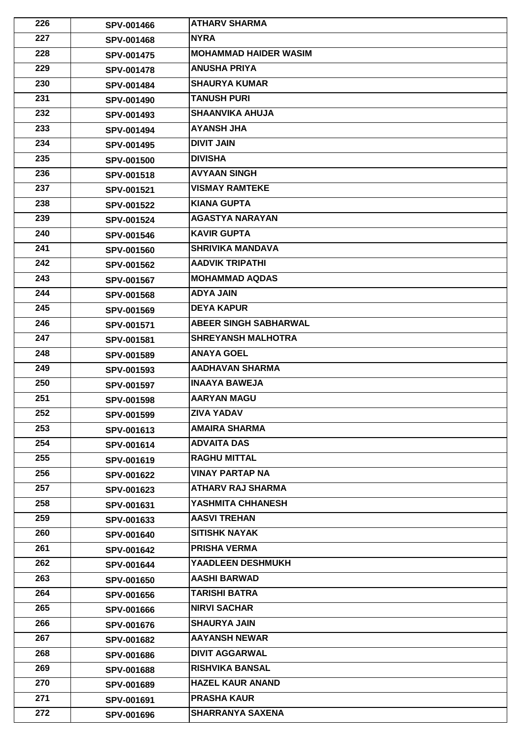| 226 | <b>SPV-001466</b> | <b>ATHARV SHARMA</b>         |
|-----|-------------------|------------------------------|
| 227 | <b>SPV-001468</b> | <b>NYRA</b>                  |
| 228 | <b>SPV-001475</b> | <b>MOHAMMAD HAIDER WASIM</b> |
| 229 | <b>SPV-001478</b> | <b>ANUSHA PRIYA</b>          |
| 230 | <b>SPV-001484</b> | <b>SHAURYA KUMAR</b>         |
| 231 | <b>SPV-001490</b> | <b>TANUSH PURI</b>           |
| 232 | SPV-001493        | <b>SHAANVIKA AHUJA</b>       |
| 233 | <b>SPV-001494</b> | <b>AYANSH JHA</b>            |
| 234 | <b>SPV-001495</b> | <b>DIVIT JAIN</b>            |
| 235 | <b>SPV-001500</b> | <b>DIVISHA</b>               |
| 236 | <b>SPV-001518</b> | <b>AVYAAN SINGH</b>          |
| 237 | <b>SPV-001521</b> | <b>VISMAY RAMTEKE</b>        |
| 238 | <b>SPV-001522</b> | <b>KIANA GUPTA</b>           |
| 239 | <b>SPV-001524</b> | <b>AGASTYA NARAYAN</b>       |
| 240 | <b>SPV-001546</b> | <b>KAVIR GUPTA</b>           |
| 241 | <b>SPV-001560</b> | <b>SHRIVIKA MANDAVA</b>      |
| 242 | <b>SPV-001562</b> | <b>AADVIK TRIPATHI</b>       |
| 243 | <b>SPV-001567</b> | <b>MOHAMMAD AQDAS</b>        |
| 244 | <b>SPV-001568</b> | <b>ADYA JAIN</b>             |
| 245 | <b>SPV-001569</b> | <b>DEYA KAPUR</b>            |
| 246 | <b>SPV-001571</b> | <b>ABEER SINGH SABHARWAL</b> |
| 247 | <b>SPV-001581</b> | <b>SHREYANSH MALHOTRA</b>    |
| 248 | <b>SPV-001589</b> | <b>ANAYA GOEL</b>            |
| 249 | <b>SPV-001593</b> | <b>AADHAVAN SHARMA</b>       |
| 250 | <b>SPV-001597</b> | <b>INAAYA BAWEJA</b>         |
| 251 | <b>SPV-001598</b> | <b>AARYAN MAGU</b>           |
| 252 | <b>SPV-001599</b> | <b>ZIVA YADAV</b>            |
| 253 | <b>SPV-001613</b> | <b>AMAIRA SHARMA</b>         |
| 254 | <b>SPV-001614</b> | <b>ADVAITA DAS</b>           |
| 255 | <b>SPV-001619</b> | <b>RAGHU MITTAL</b>          |
| 256 | <b>SPV-001622</b> | <b>VINAY PARTAP NA</b>       |
| 257 | <b>SPV-001623</b> | <b>ATHARV RAJ SHARMA</b>     |
| 258 | <b>SPV-001631</b> | YASHMITA CHHANESH            |
| 259 | <b>SPV-001633</b> | <b>AASVI TREHAN</b>          |
| 260 | <b>SPV-001640</b> | <b>ISITISHK NAYAK</b>        |
| 261 | <b>SPV-001642</b> | <b>PRISHA VERMA</b>          |
| 262 | <b>SPV-001644</b> | <b>YAADLEEN DESHMUKH</b>     |
| 263 | <b>SPV-001650</b> | <b>AASHI BARWAD</b>          |
| 264 | <b>SPV-001656</b> | TARISHI BATRA                |
| 265 | <b>SPV-001666</b> | <b>NIRVI SACHAR</b>          |
| 266 | <b>SPV-001676</b> | <b>SHAURYA JAIN</b>          |
| 267 | <b>SPV-001682</b> | <b>AAYANSH NEWAR</b>         |
| 268 | <b>SPV-001686</b> | <b>DIVIT AGGARWAL</b>        |
| 269 | <b>SPV-001688</b> | <b>RISHVIKA BANSAL</b>       |
| 270 | <b>SPV-001689</b> | <b>HAZEL KAUR ANAND</b>      |
| 271 | SPV-001691        | <b>PRASHA KAUR</b>           |
| 272 | <b>SPV-001696</b> | <b>SHARRANYA SAXENA</b>      |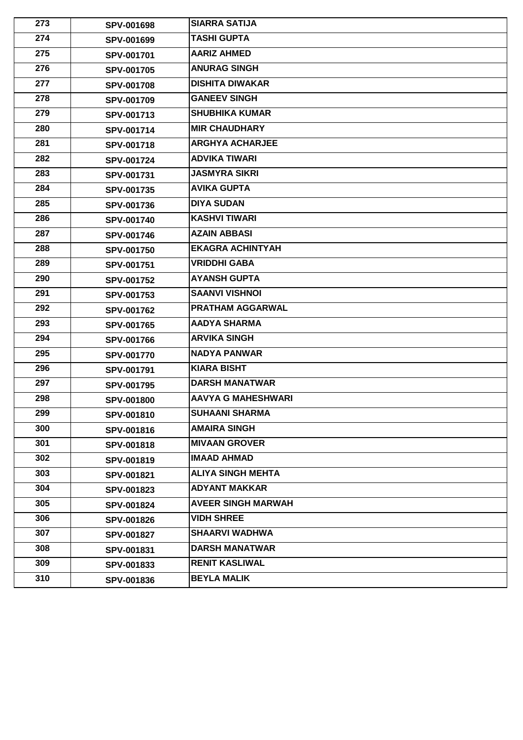| 273 | <b>SPV-001698</b> | <b>SIARRA SATIJA</b>      |
|-----|-------------------|---------------------------|
| 274 | <b>SPV-001699</b> | <b>TASHI GUPTA</b>        |
| 275 | <b>SPV-001701</b> | <b>AARIZ AHMED</b>        |
| 276 | <b>SPV-001705</b> | <b>ANURAG SINGH</b>       |
| 277 | <b>SPV-001708</b> | <b>DISHITA DIWAKAR</b>    |
| 278 | <b>SPV-001709</b> | <b>GANEEV SINGH</b>       |
| 279 | SPV-001713        | <b>SHUBHIKA KUMAR</b>     |
| 280 | <b>SPV-001714</b> | <b>MIR CHAUDHARY</b>      |
| 281 | <b>SPV-001718</b> | <b>ARGHYA ACHARJEE</b>    |
| 282 | <b>SPV-001724</b> | <b>ADVIKA TIWARI</b>      |
| 283 | SPV-001731        | <b>JASMYRA SIKRI</b>      |
| 284 | <b>SPV-001735</b> | <b>AVIKA GUPTA</b>        |
| 285 | <b>SPV-001736</b> | <b>DIYA SUDAN</b>         |
| 286 | <b>SPV-001740</b> | <b>KASHVI TIWARI</b>      |
| 287 | <b>SPV-001746</b> | <b>AZAIN ABBASI</b>       |
| 288 | <b>SPV-001750</b> | <b>EKAGRA ACHINTYAH</b>   |
| 289 | <b>SPV-001751</b> | <b>VRIDDHI GABA</b>       |
| 290 | <b>SPV-001752</b> | <b>AYANSH GUPTA</b>       |
| 291 | <b>SPV-001753</b> | <b>SAANVI VISHNOI</b>     |
| 292 | <b>SPV-001762</b> | <b>PRATHAM AGGARWAL</b>   |
| 293 | <b>SPV-001765</b> | <b>AADYA SHARMA</b>       |
| 294 | <b>SPV-001766</b> | <b>ARVIKA SINGH</b>       |
| 295 | <b>SPV-001770</b> | <b>NADYA PANWAR</b>       |
| 296 | <b>SPV-001791</b> | <b>KIARA BISHT</b>        |
| 297 | <b>SPV-001795</b> | <b>DARSH MANATWAR</b>     |
| 298 | <b>SPV-001800</b> | <b>AAVYA G MAHESHWARI</b> |
| 299 | <b>SPV-001810</b> | <b>SUHAANI SHARMA</b>     |
| 300 | <b>SPV-001816</b> | <b>AMAIRA SINGH</b>       |
| 301 | <b>SPV-001818</b> | <b>MIVAAN GROVER</b>      |
| 302 | <b>SPV-001819</b> | <b>IMAAD AHMAD</b>        |
| 303 | <b>SPV-001821</b> | <b>ALIYA SINGH MEHTA</b>  |
| 304 | <b>SPV-001823</b> | <b>ADYANT MAKKAR</b>      |
| 305 | <b>SPV-001824</b> | <b>AVEER SINGH MARWAH</b> |
| 306 | <b>SPV-001826</b> | <b>VIDH SHREE</b>         |
| 307 | <b>SPV-001827</b> | <b>SHAARVI WADHWA</b>     |
| 308 | <b>SPV-001831</b> | <b>DARSH MANATWAR</b>     |
| 309 | <b>SPV-001833</b> | <b>RENIT KASLIWAL</b>     |
| 310 | <b>SPV-001836</b> | <b>BEYLA MALIK</b>        |